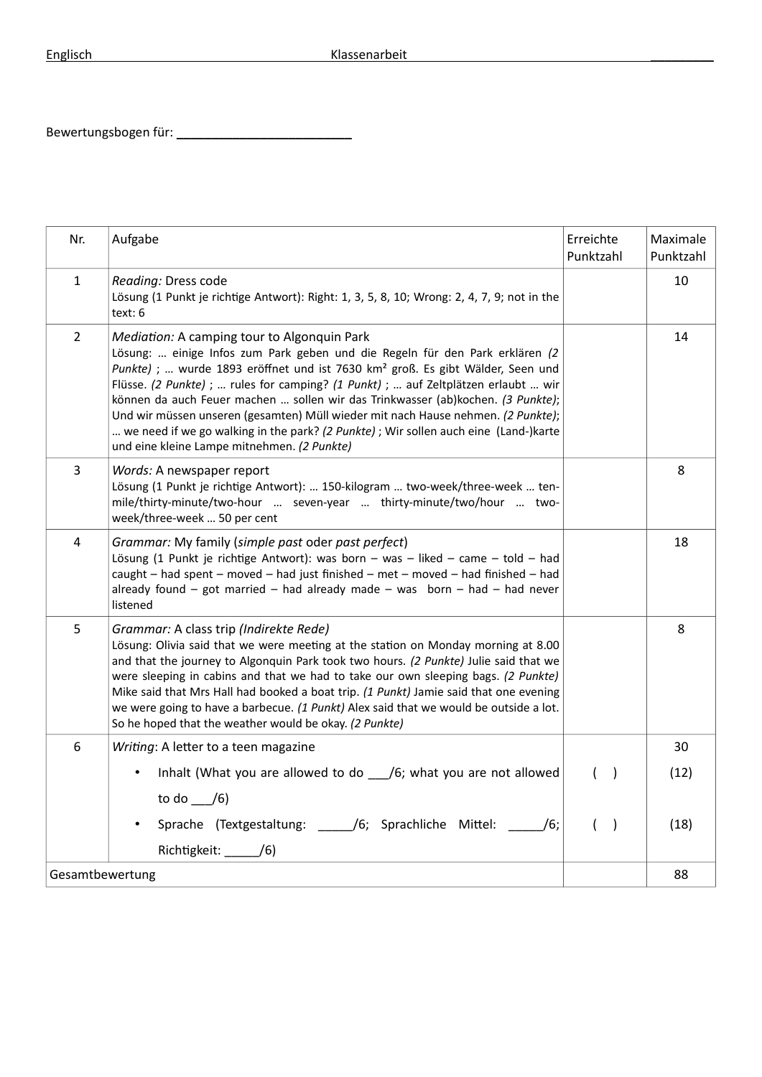Bewertungsbogen für: \_\_\_\_\_\_\_\_\_\_\_\_\_\_\_\_\_\_\_\_\_\_\_\_\_

| Nr.                     | Aufgabe                                                                                                                                                                                                                                                                                                                                                                                                                                                                                                                                                                                                                       | Erreichte<br>Punktzahl    | Maximale<br>Punktzahl |
|-------------------------|-------------------------------------------------------------------------------------------------------------------------------------------------------------------------------------------------------------------------------------------------------------------------------------------------------------------------------------------------------------------------------------------------------------------------------------------------------------------------------------------------------------------------------------------------------------------------------------------------------------------------------|---------------------------|-----------------------|
| $\mathbf{1}$            | Reading: Dress code<br>Lösung (1 Punkt je richtige Antwort): Right: 1, 3, 5, 8, 10; Wrong: 2, 4, 7, 9; not in the<br>text: 6                                                                                                                                                                                                                                                                                                                                                                                                                                                                                                  |                           | 10                    |
| $\overline{2}$          | Mediation: A camping tour to Algonquin Park<br>Lösung:  einige Infos zum Park geben und die Regeln für den Park erklären (2<br>Punkte) ;  wurde 1893 eröffnet und ist 7630 km <sup>2</sup> groß. Es gibt Wälder, Seen und<br>Flüsse. (2 Punkte) ;  rules for camping? (1 Punkt) ;  auf Zeltplätzen erlaubt  wir<br>können da auch Feuer machen  sollen wir das Trinkwasser (ab)kochen. (3 Punkte);<br>Und wir müssen unseren (gesamten) Müll wieder mit nach Hause nehmen. (2 Punkte);<br>we need if we go walking in the park? (2 Punkte) ; Wir sollen auch eine (Land-)karte<br>und eine kleine Lampe mitnehmen. (2 Punkte) |                           | 14                    |
| 3                       | Words: A newspaper report<br>Lösung (1 Punkt je richtige Antwort):  150-kilogram  two-week/three-week  ten-<br>mile/thirty-minute/two-hour  seven-year  thirty-minute/two/hour  two-<br>week/three-week  50 per cent                                                                                                                                                                                                                                                                                                                                                                                                          |                           | 8                     |
| $\overline{\mathbf{4}}$ | Grammar: My family (simple past oder past perfect)<br>Lösung (1 Punkt je richtige Antwort): was born - was - liked - came - told - had<br>caught - had spent - moved - had just finished - met - moved - had finished - had<br>already found $-$ got married $-$ had already made $-$ was born $-$ had $-$ had never<br>listened                                                                                                                                                                                                                                                                                              |                           | 18                    |
| 5                       | Grammar: A class trip (Indirekte Rede)<br>Lösung: Olivia said that we were meeting at the station on Monday morning at 8.00<br>and that the journey to Algonquin Park took two hours. (2 Punkte) Julie said that we<br>were sleeping in cabins and that we had to take our own sleeping bags. (2 Punkte)<br>Mike said that Mrs Hall had booked a boat trip. (1 Punkt) Jamie said that one evening<br>we were going to have a barbecue. (1 Punkt) Alex said that we would be outside a lot.<br>So he hoped that the weather would be okay. (2 Punkte)                                                                          |                           | 8                     |
| 6                       | Writing: A letter to a teen magazine                                                                                                                                                                                                                                                                                                                                                                                                                                                                                                                                                                                          |                           | 30                    |
|                         | Inhalt (What you are allowed to do ____/6; what you are not allowed                                                                                                                                                                                                                                                                                                                                                                                                                                                                                                                                                           | $\rightarrow$<br>$\left($ | (12)                  |
|                         | to do $\angle$ /6)                                                                                                                                                                                                                                                                                                                                                                                                                                                                                                                                                                                                            |                           |                       |
|                         | Sprache (Textgestaltung: _____/6; Sprachliche Mittel: _____/6;                                                                                                                                                                                                                                                                                                                                                                                                                                                                                                                                                                | $\big)$<br>$\overline{ }$ | (18)                  |
|                         | Richtigkeit: $\qquad$ /6)                                                                                                                                                                                                                                                                                                                                                                                                                                                                                                                                                                                                     |                           |                       |
| Gesamtbewertung         |                                                                                                                                                                                                                                                                                                                                                                                                                                                                                                                                                                                                                               |                           | 88                    |